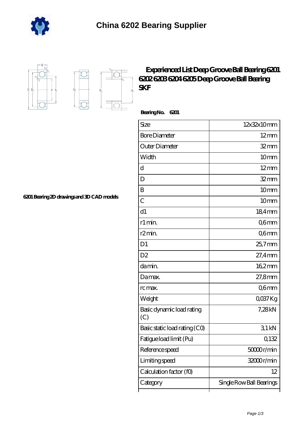



'n.  $D_a$ 

## **[Experienced List Deep Groove Ball Bearing 6201](https://m.downloadfreesoftwareonline.com/6202-Bearing/experienced-list-deep-groove-ball-bearing-6201-6202-6203-6204-6205-deep-groove-ball-bearing-skf.html) [6202 6203 6204 6205 Deep Groove Ball Bearing](https://m.downloadfreesoftwareonline.com/6202-Bearing/experienced-list-deep-groove-ball-bearing-6201-6202-6203-6204-6205-deep-groove-ball-bearing-skf.html) [SKF](https://m.downloadfreesoftwareonline.com/6202-Bearing/experienced-list-deep-groove-ball-bearing-6201-6202-6203-6204-6205-deep-groove-ball-bearing-skf.html)**

 **Bearing No. 6201**

| Size                             | 12x32x10mm               |
|----------------------------------|--------------------------|
| <b>Bore Diameter</b>             | $12 \,\mathrm{mm}$       |
| Outer Diameter                   | $32 \text{mm}$           |
| Width                            | 10 <sub>mm</sub>         |
| d                                | $12 \text{mm}$           |
| D                                | $32 \text{mm}$           |
| B                                | 10 <sub>mm</sub>         |
| $\overline{C}$                   | 10mm                     |
| d1                               | 184mm                    |
| r1 min.                          | Q6mm                     |
| r <sub>2</sub> min.              | Q6mm                     |
| D <sub>1</sub>                   | $25.7$ mm                |
| D <sub>2</sub>                   | $27.4$ mm                |
| da min.                          | $162$ <sub>mm</sub>      |
| Damax.                           | 27,8mm                   |
| rc max.                          | Q6mm                     |
| Weight                           | QO37Kg                   |
| Basic dynamic load rating<br>(C) | 7,28kN                   |
| Basic static load rating (CO)    | 31kN                     |
| Fatigue load limit (Pu)          | 0,132                    |
| Reference speed                  | 50000r/min               |
| Limiting speed                   | 32000r/min               |
| Calculation factor (f0)          | 12                       |
| Category                         | Single Row Ball Bearings |

**[6201 Bearing 2D drawings and 3D CAD models](https://m.downloadfreesoftwareonline.com/pic-629520.html)**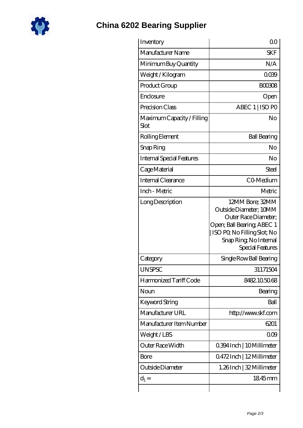

## **[China 6202 Bearing Supplier](https://m.downloadfreesoftwareonline.com)**

| Inventory                          | 0 <sup>0</sup>                                                                                                                                                              |
|------------------------------------|-----------------------------------------------------------------------------------------------------------------------------------------------------------------------------|
| Manufacturer Name                  | <b>SKF</b>                                                                                                                                                                  |
| Minimum Buy Quantity               | N/A                                                                                                                                                                         |
| Weight / Kilogram                  | 0039                                                                                                                                                                        |
| Product Group                      | <b>BOO3O8</b>                                                                                                                                                               |
| Enclosure                          | Open                                                                                                                                                                        |
| Precision Class                    | ABEC 1   ISO PO                                                                                                                                                             |
| Maximum Capacity / Filling<br>Slot | No                                                                                                                                                                          |
| Rolling Element                    | <b>Ball Bearing</b>                                                                                                                                                         |
| Snap Ring                          | No                                                                                                                                                                          |
| <b>Internal Special Features</b>   | No                                                                                                                                                                          |
| Cage Material                      | Steel                                                                                                                                                                       |
| Internal Clearance                 | CO-Medium                                                                                                                                                                   |
| Inch - Metric                      | Metric                                                                                                                                                                      |
| Long Description                   | 12MM Bore; 32MM<br>Outside Diameter; 10MM<br>Outer Race Diameter:<br>Open; Ball Bearing; ABEC 1<br>ISO PQ No Filling Slot; No<br>Snap Ring, No Internal<br>Special Features |
| Category                           | Single Row Ball Bearing                                                                                                                                                     |
| <b>UNSPSC</b>                      | 31171504                                                                                                                                                                    |
| Harmonized Tariff Code             | 8482.105068                                                                                                                                                                 |
| Noun                               | Bearing                                                                                                                                                                     |
| Keyword String                     | Ball                                                                                                                                                                        |
| Manufacturer URL                   | http://www.skf.com                                                                                                                                                          |
| Manufacturer Item Number           | 6201                                                                                                                                                                        |
| Weight/LBS                         | 000                                                                                                                                                                         |
| <b>Outer Race Width</b>            | 0.394 Inch   10 Millimeter                                                                                                                                                  |
| Bore                               | 0472Inch   12Millimeter                                                                                                                                                     |
| Outside Diameter                   | 1.26Inch   32 Millimeter                                                                                                                                                    |
| $d_1$                              | 1845mm                                                                                                                                                                      |
|                                    |                                                                                                                                                                             |